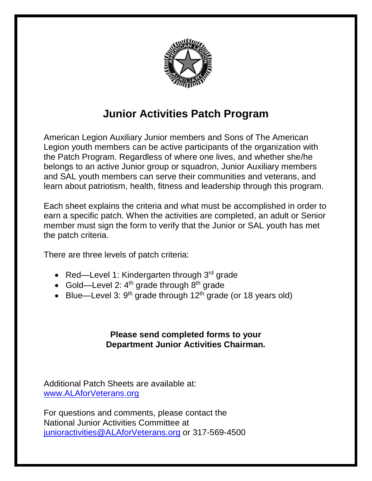

# **Junior Activities Patch Program**

American Legion Auxiliary Junior members and Sons of The American Legion youth members can be active participants of the organization with the Patch Program. Regardless of where one lives, and whether she/he belongs to an active Junior group or squadron, Junior Auxiliary members and SAL youth members can serve their communities and veterans, and learn about patriotism, health, fitness and leadership through this program.

Each sheet explains the criteria and what must be accomplished in order to earn a specific patch. When the activities are completed, an adult or Senior member must sign the form to verify that the Junior or SAL youth has met the patch criteria.

There are three levels of patch criteria:

- Red—Level 1: Kindergarten through  $3<sup>rd</sup>$  grade
- Gold—Level 2:  $4<sup>th</sup>$  grade through  $8<sup>th</sup>$  grade
- Blue—Level 3:  $9<sup>th</sup>$  grade through 12<sup>th</sup> grade (or 18 years old)

### **Please send completed forms to your Department Junior Activities Chairman.**

Additional Patch Sheets are available at: [www.ALAforVeterans.org](http://www.alaforveterans.org/)

For questions and comments, please contact the National Junior Activities Committee at [junioractivities@ALAforVeterans.org](mailto:junioractivities@ALAforVeterans.org) or 317-569-4500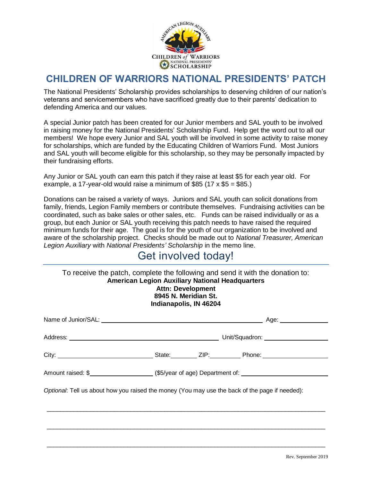

### **CHILDREN OF WARRIORS NATIONAL PRESIDENTS' PATCH**

The National Presidents' Scholarship provides scholarships to deserving children of our nation's veterans and servicemembers who have sacrificed greatly due to their parents' dedication to defending America and our values.

A special Junior patch has been created for our Junior members and SAL youth to be involved in raising money for the National Presidents' Scholarship Fund. Help get the word out to all our members! We hope every Junior and SAL youth will be involved in some activity to raise money for scholarships, which are funded by the Educating Children of Warriors Fund. Most Juniors and SAL youth will become eligible for this scholarship, so they may be personally impacted by their fundraising efforts.

Any Junior or SAL youth can earn this patch if they raise at least \$5 for each year old. For example, a 17-year-old would raise a minimum of  $$85$  (17 x  $$5 = $85$ .)

Donations can be raised a variety of ways. Juniors and SAL youth can solicit donations from family, friends, Legion Family members or contribute themselves. Fundraising activities can be coordinated, such as bake sales or other sales, etc. Funds can be raised individually or as a group, but each Junior or SAL youth receiving this patch needs to have raised the required minimum funds for their age. The goal is for the youth of our organization to be involved and aware of the scholarship project. Checks should be made out to *National Treasurer, American Legion Auxiliary* with *National Presidents' Scholarship* in the memo line.

## Get involved today!

| To receive the patch, complete the following and send it with the donation to:<br><b>American Legion Auxiliary National Headquarters</b><br><b>Attn: Development</b><br>8945 N. Meridian St.<br>Indianapolis, IN 46204 |  |  |                                                                                                        |  |
|------------------------------------------------------------------------------------------------------------------------------------------------------------------------------------------------------------------------|--|--|--------------------------------------------------------------------------------------------------------|--|
|                                                                                                                                                                                                                        |  |  |                                                                                                        |  |
|                                                                                                                                                                                                                        |  |  |                                                                                                        |  |
|                                                                                                                                                                                                                        |  |  |                                                                                                        |  |
|                                                                                                                                                                                                                        |  |  | Amount raised: \$________________________(\$5/year of age) Department of: ____________________________ |  |
| Optional: Tell us about how you raised the money (You may use the back of the page if needed):                                                                                                                         |  |  |                                                                                                        |  |
|                                                                                                                                                                                                                        |  |  |                                                                                                        |  |
|                                                                                                                                                                                                                        |  |  |                                                                                                        |  |

 $\_$  , and the state of the state of the state of the state of the state of the state of the state of the state of the state of the state of the state of the state of the state of the state of the state of the state of the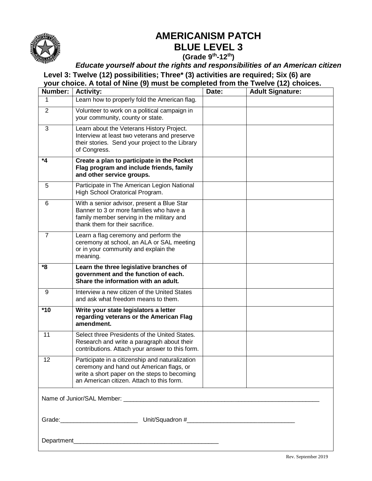

## **AMERICANISM PATCH BLUE LEVEL 3**

**(Grade 9th -12th)**

*Educate yourself about the rights and responsibilities of an American citizen*

**Level 3: Twelve (12) possibilities; Three\* (3) activities are required; Six (6) are** 

**your choice. A total of Nine (9) must be completed from the Twelve (12) choices.**

| Number:        | <b>Activity:</b>                                                                                                                                                                         | Date: | <b>Adult Signature:</b> |
|----------------|------------------------------------------------------------------------------------------------------------------------------------------------------------------------------------------|-------|-------------------------|
|                | Learn how to properly fold the American flag.                                                                                                                                            |       |                         |
| $\overline{2}$ | Volunteer to work on a political campaign in<br>your community, county or state.                                                                                                         |       |                         |
| 3              | Learn about the Veterans History Project.<br>Interview at least two veterans and preserve<br>their stories. Send your project to the Library<br>of Congress.                             |       |                         |
| *4             | Create a plan to participate in the Pocket<br>Flag program and include friends, family<br>and other service groups.                                                                      |       |                         |
| 5              | Participate in The American Legion National<br>High School Oratorical Program.                                                                                                           |       |                         |
| 6              | With a senior advisor, present a Blue Star<br>Banner to 3 or more families who have a<br>family member serving in the military and<br>thank them for their sacrifice.                    |       |                         |
| $\overline{7}$ | Learn a flag ceremony and perform the<br>ceremony at school, an ALA or SAL meeting<br>or in your community and explain the<br>meaning.                                                   |       |                         |
| *8             | Learn the three legislative branches of<br>government and the function of each.<br>Share the information with an adult.                                                                  |       |                         |
| 9              | Interview a new citizen of the United States<br>and ask what freedom means to them.                                                                                                      |       |                         |
| $*10$          | Write your state legislators a letter<br>regarding veterans or the American Flag<br>amendment.                                                                                           |       |                         |
| 11             | Select three Presidents of the United States.<br>Research and write a paragraph about their<br>contributions. Attach your answer to this form.                                           |       |                         |
| 12             | Participate in a citizenship and naturalization<br>ceremony and hand out American flags, or<br>write a short paper on the steps to becoming<br>an American citizen. Attach to this form. |       |                         |
|                |                                                                                                                                                                                          |       |                         |
|                |                                                                                                                                                                                          |       |                         |
|                |                                                                                                                                                                                          |       |                         |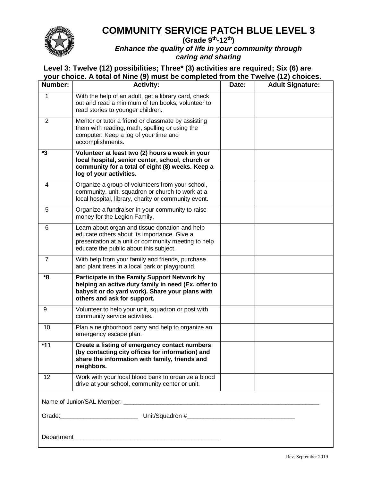

### **COMMUNITY SERVICE PATCH BLUE LEVEL 3**

**(Grade 9th -12th)** *Enhance the quality of life in your community through caring and sharing*

| Number:                   | <b>Activity:</b>                                                                                                                                                                               | Date: | <b>Adult Signature:</b> |
|---------------------------|------------------------------------------------------------------------------------------------------------------------------------------------------------------------------------------------|-------|-------------------------|
| 1                         | With the help of an adult, get a library card, check<br>out and read a minimum of ten books; volunteer to<br>read stories to younger children.                                                 |       |                         |
| $\overline{2}$            | Mentor or tutor a friend or classmate by assisting<br>them with reading, math, spelling or using the<br>computer. Keep a log of your time and<br>accomplishments.                              |       |                         |
| *3                        | Volunteer at least two (2) hours a week in your<br>local hospital, senior center, school, church or<br>community for a total of eight (8) weeks. Keep a<br>log of your activities.             |       |                         |
| 4                         | Organize a group of volunteers from your school,<br>community, unit, squadron or church to work at a<br>local hospital, library, charity or community event.                                   |       |                         |
| 5                         | Organize a fundraiser in your community to raise<br>money for the Legion Family.                                                                                                               |       |                         |
| 6                         | Learn about organ and tissue donation and help<br>educate others about its importance. Give a<br>presentation at a unit or community meeting to help<br>educate the public about this subject. |       |                         |
| $\overline{7}$            | With help from your family and friends, purchase<br>and plant trees in a local park or playground.                                                                                             |       |                         |
| $\overline{\mathbf{8}}^*$ | Participate in the Family Support Network by<br>helping an active duty family in need (Ex. offer to<br>babysit or do yard work). Share your plans with<br>others and ask for support.          |       |                         |
| 9                         | Volunteer to help your unit, squadron or post with<br>community service activities.                                                                                                            |       |                         |
| 10                        | Plan a neighborhood party and help to organize an<br>emergency escape plan.                                                                                                                    |       |                         |
| *11                       | Create a listing of emergency contact numbers<br>(by contacting city offices for information) and<br>share the information with family, friends and<br>neighbors.                              |       |                         |
| 12                        | Work with your local blood bank to organize a blood<br>drive at your school, community center or unit.                                                                                         |       |                         |
|                           |                                                                                                                                                                                                |       |                         |
|                           |                                                                                                                                                                                                |       |                         |
| Department_               |                                                                                                                                                                                                |       |                         |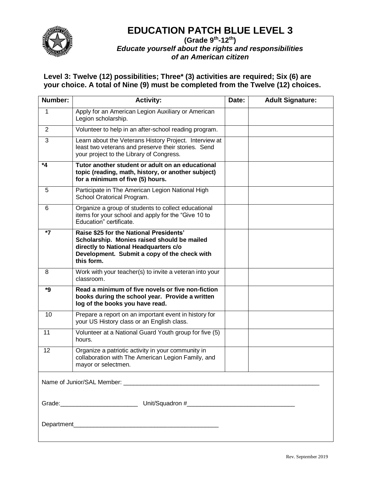

### **EDUCATION PATCH BLUE LEVEL 3**

#### **(Grade 9th -12th)** *Educate yourself about the rights and responsibilities of an American citizen*

| Number:        | <b>Activity:</b>                                                                                                                                                                              | Date: | <b>Adult Signature:</b> |
|----------------|-----------------------------------------------------------------------------------------------------------------------------------------------------------------------------------------------|-------|-------------------------|
| 1              | Apply for an American Legion Auxiliary or American<br>Legion scholarship.                                                                                                                     |       |                         |
| $\overline{2}$ | Volunteer to help in an after-school reading program.                                                                                                                                         |       |                         |
| 3              | Learn about the Veterans History Project. Interview at<br>least two veterans and preserve their stories. Send<br>your project to the Library of Congress.                                     |       |                         |
| *4             | Tutor another student or adult on an educational<br>topic (reading, math, history, or another subject)<br>for a minimum of five (5) hours.                                                    |       |                         |
| 5              | Participate in The American Legion National High<br>School Oratorical Program.                                                                                                                |       |                         |
| 6              | Organize a group of students to collect educational<br>items for your school and apply for the "Give 10 to<br>Education" certificate.                                                         |       |                         |
| $*7$           | Raise \$25 for the National Presidents'<br>Scholarship. Monies raised should be mailed<br>directly to National Headquarters c/o<br>Development. Submit a copy of the check with<br>this form. |       |                         |
| 8              | Work with your teacher(s) to invite a veteran into your<br>classroom.                                                                                                                         |       |                         |
| *9             | Read a minimum of five novels or five non-fiction<br>books during the school year. Provide a written<br>log of the books you have read.                                                       |       |                         |
| 10             | Prepare a report on an important event in history for<br>your US History class or an English class.                                                                                           |       |                         |
| 11             | Volunteer at a National Guard Youth group for five (5)<br>hours.                                                                                                                              |       |                         |
| 12             | Organize a patriotic activity in your community in<br>collaboration with The American Legion Family, and<br>mayor or selectmen.                                                               |       |                         |
|                |                                                                                                                                                                                               |       |                         |
|                |                                                                                                                                                                                               |       |                         |
|                |                                                                                                                                                                                               |       |                         |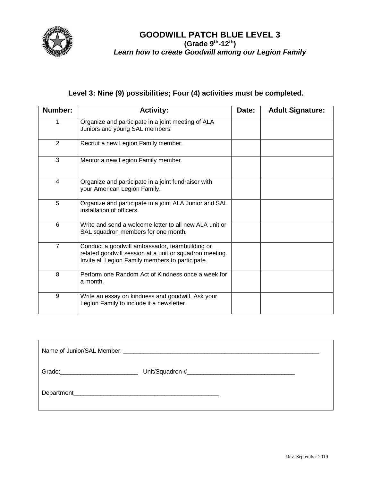

#### **GOODWILL PATCH BLUE LEVEL 3 (Grade 9th -12th)** *Learn how to create Goodwill among our Legion Family*

### **Level 3: Nine (9) possibilities; Four (4) activities must be completed.**

| Number:        | <b>Activity:</b>                                                                                                                                              | Date: | <b>Adult Signature:</b> |
|----------------|---------------------------------------------------------------------------------------------------------------------------------------------------------------|-------|-------------------------|
|                | Organize and participate in a joint meeting of ALA<br>Juniors and young SAL members.                                                                          |       |                         |
| 2              | Recruit a new Legion Family member.                                                                                                                           |       |                         |
| 3              | Mentor a new Legion Family member.                                                                                                                            |       |                         |
| 4              | Organize and participate in a joint fundraiser with<br>your American Legion Family.                                                                           |       |                         |
| 5              | Organize and participate in a joint ALA Junior and SAL<br>installation of officers.                                                                           |       |                         |
| 6              | Write and send a welcome letter to all new ALA unit or<br>SAL squadron members for one month.                                                                 |       |                         |
| $\overline{7}$ | Conduct a goodwill ambassador, teambuilding or<br>related goodwill session at a unit or squadron meeting.<br>Invite all Legion Family members to participate. |       |                         |
| 8              | Perform one Random Act of Kindness once a week for<br>a month.                                                                                                |       |                         |
| 9              | Write an essay on kindness and goodwill. Ask your<br>Legion Family to include it a newsletter.                                                                |       |                         |

| Grade: Samuel Contract Contract Contract Contract Contract Contract Contract Contract Contract Contract Contract Contract Contract Contract Contract Contract Contract Contract Contract Contract Contract Contract Contract C |  |  |  |  |
|--------------------------------------------------------------------------------------------------------------------------------------------------------------------------------------------------------------------------------|--|--|--|--|
|                                                                                                                                                                                                                                |  |  |  |  |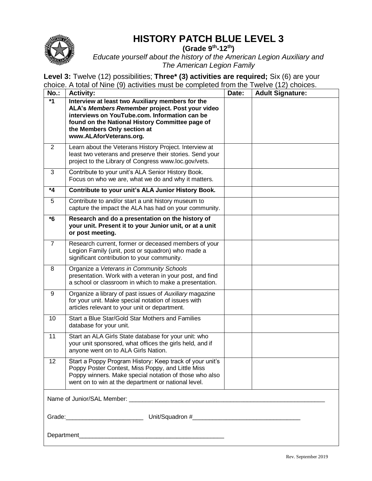

## **HISTORY PATCH BLUE LEVEL 3**

**(Grade 9th -12th)**

*Educate yourself about the history of the American Legion Auxiliary and The American Legion Family*

| <b>No.:</b>    | <b>Activity:</b>                                                                                                                                                                                                                                                  | Date: | <b>Adult Signature:</b> |
|----------------|-------------------------------------------------------------------------------------------------------------------------------------------------------------------------------------------------------------------------------------------------------------------|-------|-------------------------|
| $*1$           | Interview at least two Auxiliary members for the<br>ALA's Members Remember project. Post your video<br>interviews on YouTube.com. Information can be<br>found on the National History Committee page of<br>the Members Only section at<br>www.ALAforVeterans.org. |       |                         |
| 2              | Learn about the Veterans History Project. Interview at<br>least two veterans and preserve their stories. Send your<br>project to the Library of Congress www.loc.gov/vets.                                                                                        |       |                         |
| 3              | Contribute to your unit's ALA Senior History Book.<br>Focus on who we are, what we do and why it matters.                                                                                                                                                         |       |                         |
| $*_{4}$        | Contribute to your unit's ALA Junior History Book.                                                                                                                                                                                                                |       |                         |
| 5              | Contribute to and/or start a unit history museum to<br>capture the impact the ALA has had on your community.                                                                                                                                                      |       |                         |
| *6             | Research and do a presentation on the history of<br>your unit. Present it to your Junior unit, or at a unit<br>or post meeting.                                                                                                                                   |       |                         |
| $\overline{7}$ | Research current, former or deceased members of your<br>Legion Family (unit, post or squadron) who made a<br>significant contribution to your community.                                                                                                          |       |                         |
| 8              | Organize a Veterans in Community Schools<br>presentation. Work with a veteran in your post, and find<br>a school or classroom in which to make a presentation.                                                                                                    |       |                         |
| 9              | Organize a library of past issues of Auxiliary magazine<br>for your unit. Make special notation of issues with<br>articles relevant to your unit or department.                                                                                                   |       |                         |
| 10             | Start a Blue Star/Gold Star Mothers and Families<br>database for your unit.                                                                                                                                                                                       |       |                         |
| 11             | Start an ALA Girls State database for your unit: who<br>your unit sponsored, what offices the girls held, and if<br>anyone went on to ALA Girls Nation.                                                                                                           |       |                         |
| 12             | Start a Poppy Program History: Keep track of your unit's<br>Poppy Poster Contest, Miss Poppy, and Little Miss<br>Poppy winners. Make special notation of those who also<br>went on to win at the department or national level.                                    |       |                         |
|                |                                                                                                                                                                                                                                                                   |       |                         |
|                |                                                                                                                                                                                                                                                                   |       |                         |
|                |                                                                                                                                                                                                                                                                   |       |                         |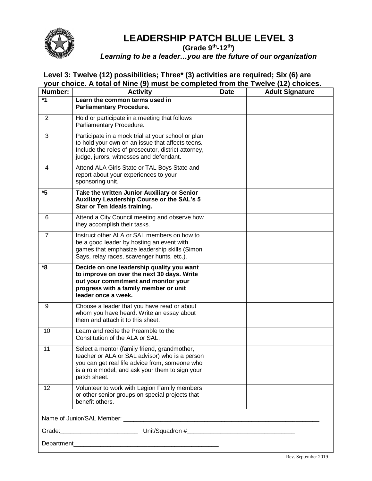

### **LEADERSHIP PATCH BLUE LEVEL 3**

#### **(Grade 9th -12th)**

*Learning to be a leader…you are the future of our organization*

| Number: | <b>Activity</b>                                                                                                                                                                                                     | <b>Date</b> | <b>Adult Signature</b> |  |  |
|---------|---------------------------------------------------------------------------------------------------------------------------------------------------------------------------------------------------------------------|-------------|------------------------|--|--|
| *1      | Learn the common terms used in<br><b>Parliamentary Procedure.</b>                                                                                                                                                   |             |                        |  |  |
| 2       | Hold or participate in a meeting that follows<br>Parliamentary Procedure.                                                                                                                                           |             |                        |  |  |
| 3       | Participate in a mock trial at your school or plan<br>to hold your own on an issue that affects teens.<br>Include the roles of prosecutor, district attorney,<br>judge, jurors, witnesses and defendant.            |             |                        |  |  |
| 4       | Attend ALA Girls State or TAL Boys State and<br>report about your experiences to your<br>sponsoring unit.                                                                                                           |             |                        |  |  |
| *5      | Take the written Junior Auxiliary or Senior<br>Auxiliary Leadership Course or the SAL's 5<br>Star or Ten Ideals training.                                                                                           |             |                        |  |  |
| 6       | Attend a City Council meeting and observe how<br>they accomplish their tasks.                                                                                                                                       |             |                        |  |  |
| 7       | Instruct other ALA or SAL members on how to<br>be a good leader by hosting an event with<br>games that emphasize leadership skills (Simon<br>Says, relay races, scavenger hunts, etc.).                             |             |                        |  |  |
| *8      | Decide on one leadership quality you want<br>to improve on over the next 30 days. Write<br>out your commitment and monitor your<br>progress with a family member or unit<br>leader once a week.                     |             |                        |  |  |
| 9       | Choose a leader that you have read or about<br>whom you have heard. Write an essay about<br>them and attach it to this sheet.                                                                                       |             |                        |  |  |
| 10      | Learn and recite the Preamble to the<br>Constitution of the ALA or SAL.                                                                                                                                             |             |                        |  |  |
| 11      | Select a mentor (family friend, grandmother,<br>teacher or ALA or SAL advisor) who is a person<br>you can get real life advice from, someone who<br>is a role model, and ask your them to sign your<br>patch sheet. |             |                        |  |  |
| 12      | Volunteer to work with Legion Family members<br>or other senior groups on special projects that<br>benefit others.                                                                                                  |             |                        |  |  |
|         | Name of Junior/SAL Member: New York 2014                                                                                                                                                                            |             |                        |  |  |
|         |                                                                                                                                                                                                                     |             |                        |  |  |
|         |                                                                                                                                                                                                                     |             |                        |  |  |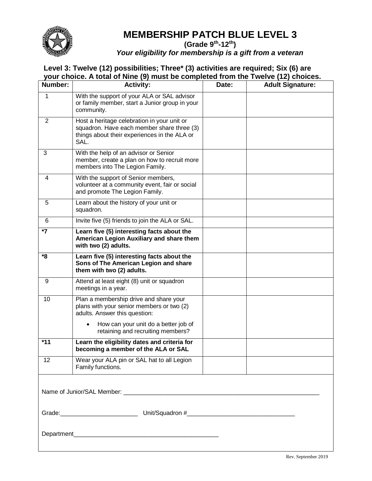

# **MEMBERSHIP PATCH BLUE LEVEL 3**

**(Grade 9th -12th)**

*Your eligibility for membership is a gift from a veteran*

| Number:        | <b>Activity:</b>                                                                                                                                  | Date: | <b>Adult Signature:</b> |
|----------------|---------------------------------------------------------------------------------------------------------------------------------------------------|-------|-------------------------|
| 1              | With the support of your ALA or SAL advisor<br>or family member, start a Junior group in your<br>community.                                       |       |                         |
| $\overline{2}$ | Host a heritage celebration in your unit or<br>squadron. Have each member share three (3)<br>things about their experiences in the ALA or<br>SAL. |       |                         |
| 3              | With the help of an advisor or Senior<br>member, create a plan on how to recruit more<br>members into The Legion Family.                          |       |                         |
| 4              | With the support of Senior members,<br>volunteer at a community event, fair or social<br>and promote The Legion Family.                           |       |                         |
| 5              | Learn about the history of your unit or<br>squadron.                                                                                              |       |                         |
| 6              | Invite five (5) friends to join the ALA or SAL.                                                                                                   |       |                         |
| *7             | Learn five (5) interesting facts about the<br>American Legion Auxiliary and share them<br>with two (2) adults.                                    |       |                         |
| *8             | Learn five (5) interesting facts about the<br>Sons of The American Legion and share<br>them with two (2) adults.                                  |       |                         |
| 9              | Attend at least eight (8) unit or squadron<br>meetings in a year.                                                                                 |       |                         |
| 10             | Plan a membership drive and share your<br>plans with your senior members or two (2)<br>adults. Answer this question:                              |       |                         |
|                | How can your unit do a better job of<br>retaining and recruiting members?                                                                         |       |                         |
| $*11$          | Learn the eligibility dates and criteria for<br>becoming a member of the ALA or SAL                                                               |       |                         |
| 12             | Wear your ALA pin or SAL hat to all Legion<br>Family functions.                                                                                   |       |                         |
|                |                                                                                                                                                   |       |                         |
|                |                                                                                                                                                   |       |                         |
|                |                                                                                                                                                   |       |                         |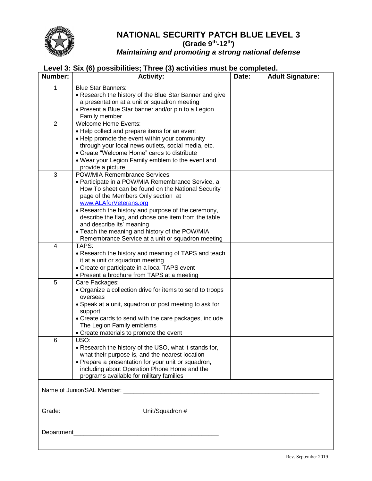

#### **NATIONAL SECURITY PATCH BLUE LEVEL 3 (Grade 9th -12th)** *Maintaining and promoting a strong national defense*

### **Level 3: Six (6) possibilities; Three (3) activities must be completed.**

| Number:        | Level of oix (a) possibilities, Three (a) detrities must be compr<br><b>Activity:</b>                     | Date: | <b>Adult Signature:</b> |
|----------------|-----------------------------------------------------------------------------------------------------------|-------|-------------------------|
| 1              | <b>Blue Star Banners:</b>                                                                                 |       |                         |
|                | • Research the history of the Blue Star Banner and give                                                   |       |                         |
|                | a presentation at a unit or squadron meeting                                                              |       |                         |
|                | • Present a Blue Star banner and/or pin to a Legion                                                       |       |                         |
|                | Family member                                                                                             |       |                         |
| $\overline{2}$ | <b>Welcome Home Events:</b>                                                                               |       |                         |
|                | • Help collect and prepare items for an event                                                             |       |                         |
|                | • Help promote the event within your community                                                            |       |                         |
|                | through your local news outlets, social media, etc.                                                       |       |                         |
|                | • Create "Welcome Home" cards to distribute                                                               |       |                         |
|                | . Wear your Legion Family emblem to the event and                                                         |       |                         |
| 3              | provide a picture<br>POW/MIA Remembrance Services:                                                        |       |                         |
|                | • Participate in a POW/MIA Remembrance Service, a                                                         |       |                         |
|                | How To sheet can be found on the National Security                                                        |       |                         |
|                | page of the Members Only section at                                                                       |       |                         |
|                | www.ALAforVeterans.org                                                                                    |       |                         |
|                | • Research the history and purpose of the ceremony,                                                       |       |                         |
|                | describe the flag, and chose one item from the table                                                      |       |                         |
|                | and describe its' meaning                                                                                 |       |                         |
|                | • Teach the meaning and history of the POW/MIA                                                            |       |                         |
|                | Remembrance Service at a unit or squadron meeting                                                         |       |                         |
| 4              | TAPS:                                                                                                     |       |                         |
|                | • Research the history and meaning of TAPS and teach                                                      |       |                         |
|                | it at a unit or squadron meeting                                                                          |       |                         |
|                | • Create or participate in a local TAPS event                                                             |       |                         |
|                | • Present a brochure from TAPS at a meeting                                                               |       |                         |
| 5              | Care Packages:                                                                                            |       |                         |
|                | • Organize a collection drive for items to send to troops                                                 |       |                         |
|                | overseas                                                                                                  |       |                         |
|                | • Speak at a unit, squadron or post meeting to ask for                                                    |       |                         |
|                | support                                                                                                   |       |                         |
|                | • Create cards to send with the care packages, include                                                    |       |                         |
|                | The Legion Family emblems                                                                                 |       |                         |
|                | • Create materials to promote the event<br>USO:                                                           |       |                         |
| 6              |                                                                                                           |       |                         |
|                | • Research the history of the USO, what it stands for,<br>what their purpose is, and the nearest location |       |                         |
|                | • Prepare a presentation for your unit or squadron,                                                       |       |                         |
|                | including about Operation Phone Home and the                                                              |       |                         |
|                | programs available for military families                                                                  |       |                         |
|                |                                                                                                           |       |                         |
|                |                                                                                                           |       |                         |
|                |                                                                                                           |       |                         |
|                |                                                                                                           |       |                         |
|                |                                                                                                           |       |                         |
|                |                                                                                                           |       |                         |
|                |                                                                                                           |       |                         |
| Department_    | <u> 1989 - Johann John Stein, mars an deutscher Stein († 1958)</u>                                        |       |                         |
|                |                                                                                                           |       |                         |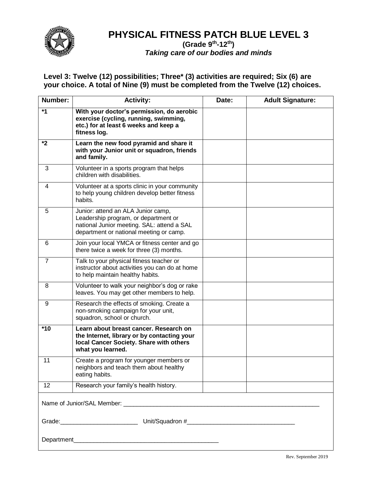

### **PHYSICAL FITNESS PATCH BLUE LEVEL 3**

#### **(Grade 9th -12th)** *Taking care of our bodies and minds*

| Number:        | <b>Activity:</b>                                                                                                                                                    | Date: | <b>Adult Signature:</b> |
|----------------|---------------------------------------------------------------------------------------------------------------------------------------------------------------------|-------|-------------------------|
| $*1$           | With your doctor's permission, do aerobic<br>exercise (cycling, running, swimming,<br>etc.) for at least 6 weeks and keep a<br>fitness log.                         |       |                         |
| $*2$           | Learn the new food pyramid and share it<br>with your Junior unit or squadron, friends<br>and family.                                                                |       |                         |
| 3              | Volunteer in a sports program that helps<br>children with disabilities.                                                                                             |       |                         |
| 4              | Volunteer at a sports clinic in your community<br>to help young children develop better fitness<br>habits.                                                          |       |                         |
| 5              | Junior: attend an ALA Junior camp,<br>Leadership program, or department or<br>national Junior meeting. SAL: attend a SAL<br>department or national meeting or camp. |       |                         |
| 6              | Join your local YMCA or fitness center and go<br>there twice a week for three (3) months.                                                                           |       |                         |
| $\overline{7}$ | Talk to your physical fitness teacher or<br>instructor about activities you can do at home<br>to help maintain healthy habits.                                      |       |                         |
| 8              | Volunteer to walk your neighbor's dog or rake<br>leaves. You may get other members to help.                                                                         |       |                         |
| 9              | Research the effects of smoking. Create a<br>non-smoking campaign for your unit,<br>squadron, school or church.                                                     |       |                         |
| $*10$          | Learn about breast cancer. Research on<br>the Internet, library or by contacting your<br>local Cancer Society. Share with others<br>what you learned.               |       |                         |
| 11             | Create a program for younger members or<br>neighbors and teach them about healthy<br>eating habits.                                                                 |       |                         |
| 12             | Research your family's health history.                                                                                                                              |       |                         |
|                |                                                                                                                                                                     |       |                         |
|                |                                                                                                                                                                     |       |                         |
|                |                                                                                                                                                                     |       |                         |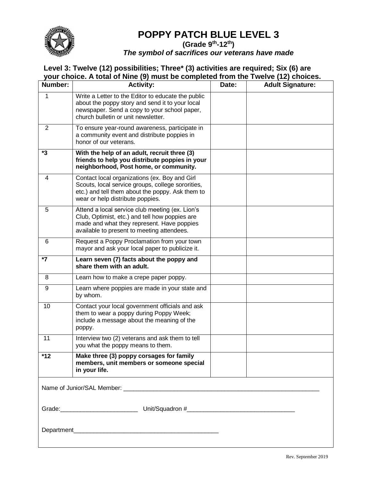

### **POPPY PATCH BLUE LEVEL 3**

**(Grade 9th -12th)**

*The symbol of sacrifices our veterans have made*

| Number:        | <b>Activity:</b>                                                                                                                                                                              | Date: | <b>Adult Signature:</b> |
|----------------|-----------------------------------------------------------------------------------------------------------------------------------------------------------------------------------------------|-------|-------------------------|
| 1              | Write a Letter to the Editor to educate the public<br>about the poppy story and send it to your local<br>newspaper. Send a copy to your school paper,<br>church bulletin or unit newsletter.  |       |                         |
| $\overline{c}$ | To ensure year-round awareness, participate in<br>a community event and distribute poppies in<br>honor of our veterans.                                                                       |       |                         |
| *3             | With the help of an adult, recruit three (3)<br>friends to help you distribute poppies in your<br>neighborhood, Post home, or community.                                                      |       |                         |
| 4              | Contact local organizations (ex. Boy and Girl<br>Scouts, local service groups, college sororities,<br>etc.) and tell them about the poppy. Ask them to<br>wear or help distribute poppies.    |       |                         |
| 5              | Attend a local service club meeting (ex. Lion's<br>Club, Optimist, etc.) and tell how poppies are<br>made and what they represent. Have poppies<br>available to present to meeting attendees. |       |                         |
| 6              | Request a Poppy Proclamation from your town<br>mayor and ask your local paper to publicize it.                                                                                                |       |                         |
| *7             | Learn seven (7) facts about the poppy and<br>share them with an adult.                                                                                                                        |       |                         |
| 8              | Learn how to make a crepe paper poppy.                                                                                                                                                        |       |                         |
| 9              | Learn where poppies are made in your state and<br>by whom.                                                                                                                                    |       |                         |
| 10             | Contact your local government officials and ask<br>them to wear a poppy during Poppy Week;<br>include a message about the meaning of the<br>poppy.                                            |       |                         |
| 11             | Interview two (2) veterans and ask them to tell<br>you what the poppy means to them.                                                                                                          |       |                         |
| $*12$          | Make three (3) poppy corsages for family<br>members, unit members or someone special<br>in your life.                                                                                         |       |                         |
|                |                                                                                                                                                                                               |       |                         |
|                |                                                                                                                                                                                               |       |                         |
|                |                                                                                                                                                                                               |       |                         |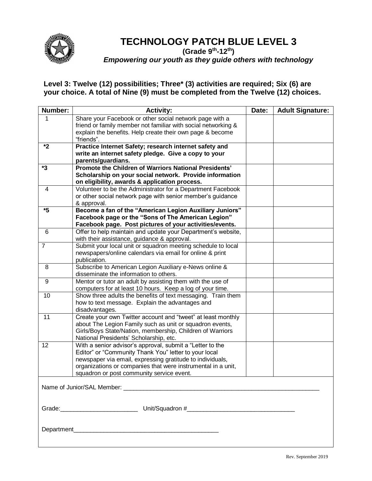

# **TECHNOLOGY PATCH BLUE LEVEL 3**

**(Grade 9th -12th)**

*Empowering our youth as they guide others with technology*

| Number:        | <b>Activity:</b>                                                                                                           | Date: | <b>Adult Signature:</b> |  |
|----------------|----------------------------------------------------------------------------------------------------------------------------|-------|-------------------------|--|
| 1              | Share your Facebook or other social network page with a                                                                    |       |                         |  |
|                | friend or family member not familiar with social networking &<br>explain the benefits. Help create their own page & become |       |                         |  |
|                | "friends".                                                                                                                 |       |                         |  |
| *2             | Practice Internet Safety; research internet safety and                                                                     |       |                         |  |
|                | write an internet safety pledge. Give a copy to your                                                                       |       |                         |  |
| *3             | parents/guardians.<br>Promote the Children of Warriors National Presidents'                                                |       |                         |  |
|                | Scholarship on your social network. Provide information                                                                    |       |                         |  |
|                | on eligibility, awards & application process.                                                                              |       |                         |  |
| 4              | Volunteer to be the Administrator for a Department Facebook                                                                |       |                         |  |
|                | or other social network page with senior member's guidance                                                                 |       |                         |  |
|                | & approval.                                                                                                                |       |                         |  |
| *5             | Become a fan of the "American Legion Auxiliary Juniors"                                                                    |       |                         |  |
|                | Facebook page or the "Sons of The American Legion"                                                                         |       |                         |  |
|                | Facebook page. Post pictures of your activities/events.                                                                    |       |                         |  |
| 6              | Offer to help maintain and update your Department's website,<br>with their assistance, guidance & approval.                |       |                         |  |
| $\overline{7}$ | Submit your local unit or squadron meeting schedule to local                                                               |       |                         |  |
|                | newspapers/online calendars via email for online & print                                                                   |       |                         |  |
|                | publication.                                                                                                               |       |                         |  |
| 8              | Subscribe to American Legion Auxiliary e-News online &                                                                     |       |                         |  |
|                | disseminate the information to others.                                                                                     |       |                         |  |
| 9              | Mentor or tutor an adult by assisting them with the use of                                                                 |       |                         |  |
| 10             | computers for at least 10 hours. Keep a log of your time.<br>Show three adults the benefits of text messaging. Train them  |       |                         |  |
|                | how to text message. Explain the advantages and                                                                            |       |                         |  |
|                | disadvantages.                                                                                                             |       |                         |  |
| 11             | Create your own Twitter account and "tweet" at least monthly                                                               |       |                         |  |
|                | about The Legion Family such as unit or squadron events,                                                                   |       |                         |  |
|                | Girls/Boys State/Nation, membership, Children of Warriors                                                                  |       |                         |  |
|                | National Presidents' Scholarship, etc.                                                                                     |       |                         |  |
| 12             | With a senior advisor's approval, submit a "Letter to the<br>Editor" or "Community Thank You" letter to your local         |       |                         |  |
|                | newspaper via email, expressing gratitude to individuals,                                                                  |       |                         |  |
|                | organizations or companies that were instrumental in a unit,                                                               |       |                         |  |
|                | squadron or post community service event.                                                                                  |       |                         |  |
|                |                                                                                                                            |       |                         |  |
|                |                                                                                                                            |       |                         |  |
|                |                                                                                                                            |       |                         |  |
|                |                                                                                                                            |       |                         |  |
|                |                                                                                                                            |       |                         |  |
|                |                                                                                                                            |       |                         |  |
|                |                                                                                                                            |       |                         |  |
|                |                                                                                                                            |       |                         |  |